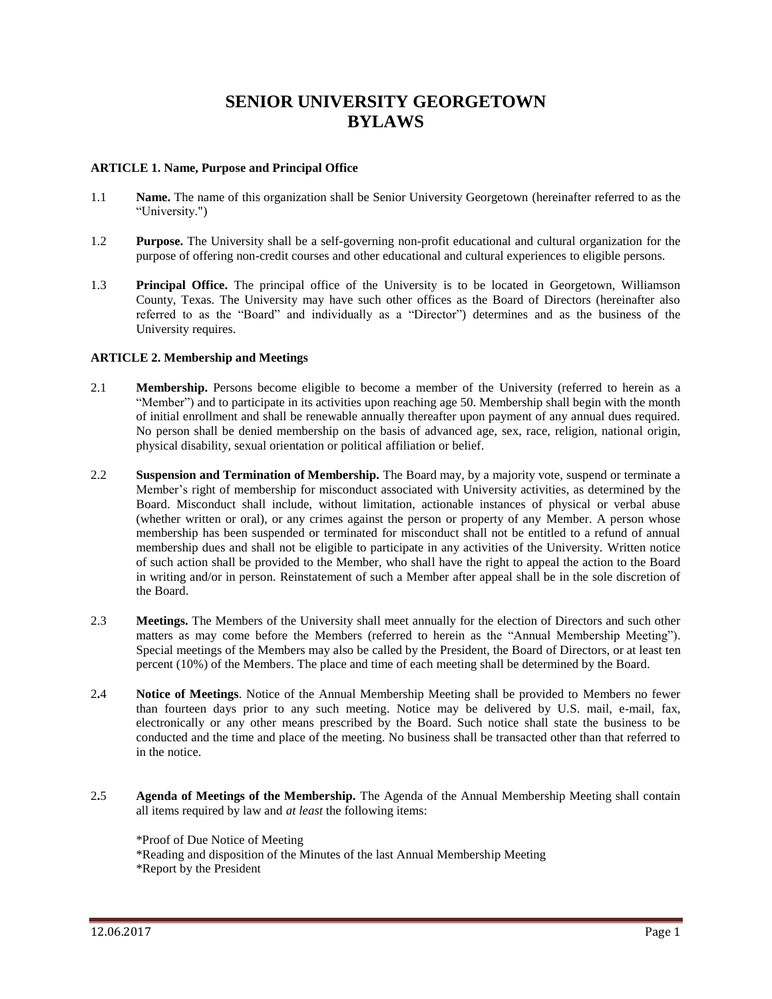# **SENIOR UNIVERSITY GEORGETOWN BYLAWS**

#### **ARTICLE 1. Name, Purpose and Principal Office**

- 1.1 **Name.** The name of this organization shall be Senior University Georgetown (hereinafter referred to as the "University.")
- 1.2 **Purpose.** The University shall be a self-governing non-profit educational and cultural organization for the purpose of offering non-credit courses and other educational and cultural experiences to eligible persons.
- 1.3 **Principal Office.** The principal office of the University is to be located in Georgetown, Williamson County, Texas. The University may have such other offices as the Board of Directors (hereinafter also referred to as the "Board" and individually as a "Director") determines and as the business of the University requires.

#### **ARTICLE 2. Membership and Meetings**

- 2.1 **Membership.** Persons become eligible to become a member of the University (referred to herein as a "Member") and to participate in its activities upon reaching age 50. Membership shall begin with the month of initial enrollment and shall be renewable annually thereafter upon payment of any annual dues required. No person shall be denied membership on the basis of advanced age, sex, race, religion, national origin, physical disability, sexual orientation or political affiliation or belief.
- 2.2 **Suspension and Termination of Membership.** The Board may, by a majority vote, suspend or terminate a Member's right of membership for misconduct associated with University activities, as determined by the Board. Misconduct shall include, without limitation, actionable instances of physical or verbal abuse (whether written or oral), or any crimes against the person or property of any Member. A person whose membership has been suspended or terminated for misconduct shall not be entitled to a refund of annual membership dues and shall not be eligible to participate in any activities of the University. Written notice of such action shall be provided to the Member, who shall have the right to appeal the action to the Board in writing and/or in person. Reinstatement of such a Member after appeal shall be in the sole discretion of the Board.
- 2.3 **Meetings.** The Members of the University shall meet annually for the election of Directors and such other matters as may come before the Members (referred to herein as the "Annual Membership Meeting"). Special meetings of the Members may also be called by the President, the Board of Directors, or at least ten percent (10%) of the Members. The place and time of each meeting shall be determined by the Board.
- 2**.**4 **Notice of Meetings**. Notice of the Annual Membership Meeting shall be provided to Members no fewer than fourteen days prior to any such meeting. Notice may be delivered by U.S. mail, e-mail, fax, electronically or any other means prescribed by the Board. Such notice shall state the business to be conducted and the time and place of the meeting. No business shall be transacted other than that referred to in the notice.
- 2**.**5 **Agenda of Meetings of the Membership.** The Agenda of the Annual Membership Meeting shall contain all items required by law and *at least* the following items:
	- \*Proof of Due Notice of Meeting
	- \*Reading and disposition of the Minutes of the last Annual Membership Meeting
	- \*Report by the President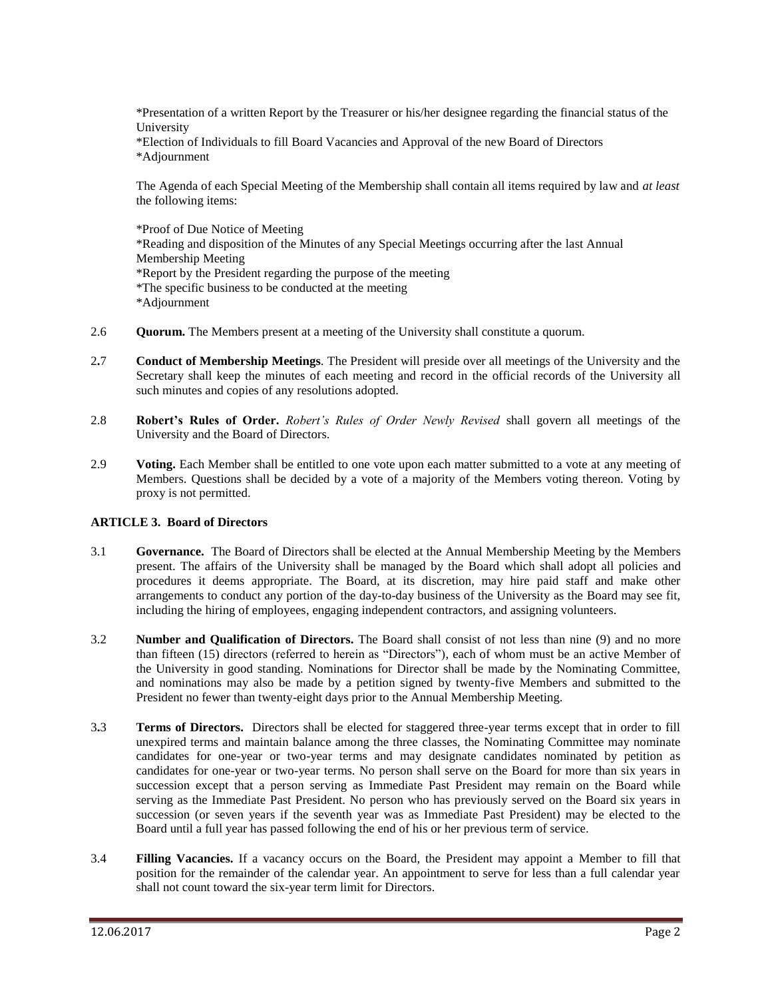\*Presentation of a written Report by the Treasurer or his/her designee regarding the financial status of the University

\*Election of Individuals to fill Board Vacancies and Approval of the new Board of Directors \*Adjournment

The Agenda of each Special Meeting of the Membership shall contain all items required by law and *at least* the following items:

\*Proof of Due Notice of Meeting \*Reading and disposition of the Minutes of any Special Meetings occurring after the last Annual Membership Meeting \*Report by the President regarding the purpose of the meeting \*The specific business to be conducted at the meeting \*Adjournment

- 2.6 **Quorum.** The Members present at a meeting of the University shall constitute a quorum.
- 2**.**7 **Conduct of Membership Meetings**. The President will preside over all meetings of the University and the Secretary shall keep the minutes of each meeting and record in the official records of the University all such minutes and copies of any resolutions adopted.
- 2.8 **Robert's Rules of Order.** *Robert's Rules of Order Newly Revised* shall govern all meetings of the University and the Board of Directors.
- 2.9 **Voting.** Each Member shall be entitled to one vote upon each matter submitted to a vote at any meeting of Members. Questions shall be decided by a vote of a majority of the Members voting thereon. Voting by proxy is not permitted.

#### **ARTICLE 3. Board of Directors**

- 3.1 **Governance.** The Board of Directors shall be elected at the Annual Membership Meeting by the Members present. The affairs of the University shall be managed by the Board which shall adopt all policies and procedures it deems appropriate. The Board, at its discretion, may hire paid staff and make other arrangements to conduct any portion of the day-to-day business of the University as the Board may see fit, including the hiring of employees, engaging independent contractors, and assigning volunteers.
- 3.2 **Number and Qualification of Directors.** The Board shall consist of not less than nine (9) and no more than fifteen (15) directors (referred to herein as "Directors"), each of whom must be an active Member of the University in good standing. Nominations for Director shall be made by the Nominating Committee, and nominations may also be made by a petition signed by twenty-five Members and submitted to the President no fewer than twenty-eight days prior to the Annual Membership Meeting.
- 3**.**3 **Terms of Directors.** Directors shall be elected for staggered three-year terms except that in order to fill unexpired terms and maintain balance among the three classes, the Nominating Committee may nominate candidates for one-year or two-year terms and may designate candidates nominated by petition as candidates for one-year or two-year terms. No person shall serve on the Board for more than six years in succession except that a person serving as Immediate Past President may remain on the Board while serving as the Immediate Past President. No person who has previously served on the Board six years in succession (or seven years if the seventh year was as Immediate Past President) may be elected to the Board until a full year has passed following the end of his or her previous term of service.
- 3.4 **Filling Vacancies.** If a vacancy occurs on the Board, the President may appoint a Member to fill that position for the remainder of the calendar year. An appointment to serve for less than a full calendar year shall not count toward the six-year term limit for Directors.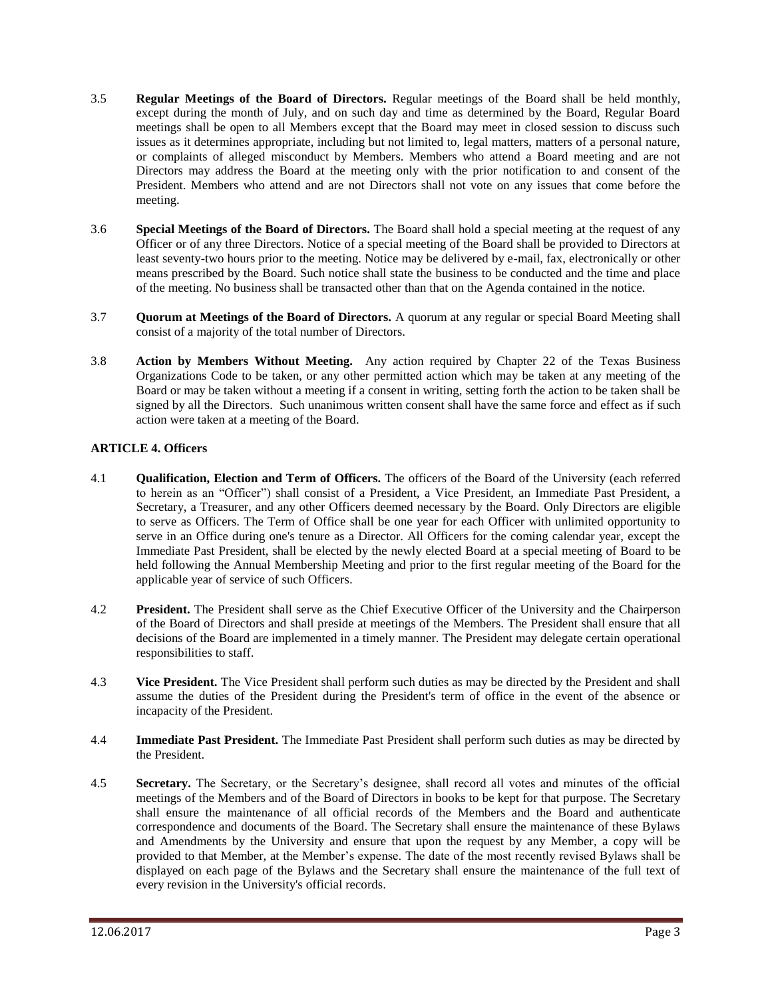- 3.5 **Regular Meetings of the Board of Directors.** Regular meetings of the Board shall be held monthly, except during the month of July, and on such day and time as determined by the Board, Regular Board meetings shall be open to all Members except that the Board may meet in closed session to discuss such issues as it determines appropriate, including but not limited to, legal matters, matters of a personal nature, or complaints of alleged misconduct by Members. Members who attend a Board meeting and are not Directors may address the Board at the meeting only with the prior notification to and consent of the President. Members who attend and are not Directors shall not vote on any issues that come before the meeting.
- 3.6 **Special Meetings of the Board of Directors.** The Board shall hold a special meeting at the request of any Officer or of any three Directors. Notice of a special meeting of the Board shall be provided to Directors at least seventy-two hours prior to the meeting. Notice may be delivered by e-mail, fax, electronically or other means prescribed by the Board. Such notice shall state the business to be conducted and the time and place of the meeting. No business shall be transacted other than that on the Agenda contained in the notice.
- 3.7 **Quorum at Meetings of the Board of Directors.** A quorum at any regular or special Board Meeting shall consist of a majority of the total number of Directors.
- 3.8 **Action by Members Without Meeting.** Any action required by Chapter 22 of the Texas Business Organizations Code to be taken, or any other permitted action which may be taken at any meeting of the Board or may be taken without a meeting if a consent in writing, setting forth the action to be taken shall be signed by all the Directors. Such unanimous written consent shall have the same force and effect as if such action were taken at a meeting of the Board.

## **ARTICLE 4. Officers**

- 4.1 **Qualification, Election and Term of Officers.** The officers of the Board of the University (each referred to herein as an "Officer") shall consist of a President, a Vice President, an Immediate Past President, a Secretary, a Treasurer, and any other Officers deemed necessary by the Board. Only Directors are eligible to serve as Officers. The Term of Office shall be one year for each Officer with unlimited opportunity to serve in an Office during one's tenure as a Director. All Officers for the coming calendar year, except the Immediate Past President, shall be elected by the newly elected Board at a special meeting of Board to be held following the Annual Membership Meeting and prior to the first regular meeting of the Board for the applicable year of service of such Officers.
- 4.2 **President.** The President shall serve as the Chief Executive Officer of the University and the Chairperson of the Board of Directors and shall preside at meetings of the Members. The President shall ensure that all decisions of the Board are implemented in a timely manner. The President may delegate certain operational responsibilities to staff.
- 4.3 **Vice President.** The Vice President shall perform such duties as may be directed by the President and shall assume the duties of the President during the President's term of office in the event of the absence or incapacity of the President.
- 4.4 **Immediate Past President.** The Immediate Past President shall perform such duties as may be directed by the President.
- 4.5 **Secretary.** The Secretary, or the Secretary's designee, shall record all votes and minutes of the official meetings of the Members and of the Board of Directors in books to be kept for that purpose. The Secretary shall ensure the maintenance of all official records of the Members and the Board and authenticate correspondence and documents of the Board. The Secretary shall ensure the maintenance of these Bylaws and Amendments by the University and ensure that upon the request by any Member, a copy will be provided to that Member, at the Member's expense. The date of the most recently revised Bylaws shall be displayed on each page of the Bylaws and the Secretary shall ensure the maintenance of the full text of every revision in the University's official records.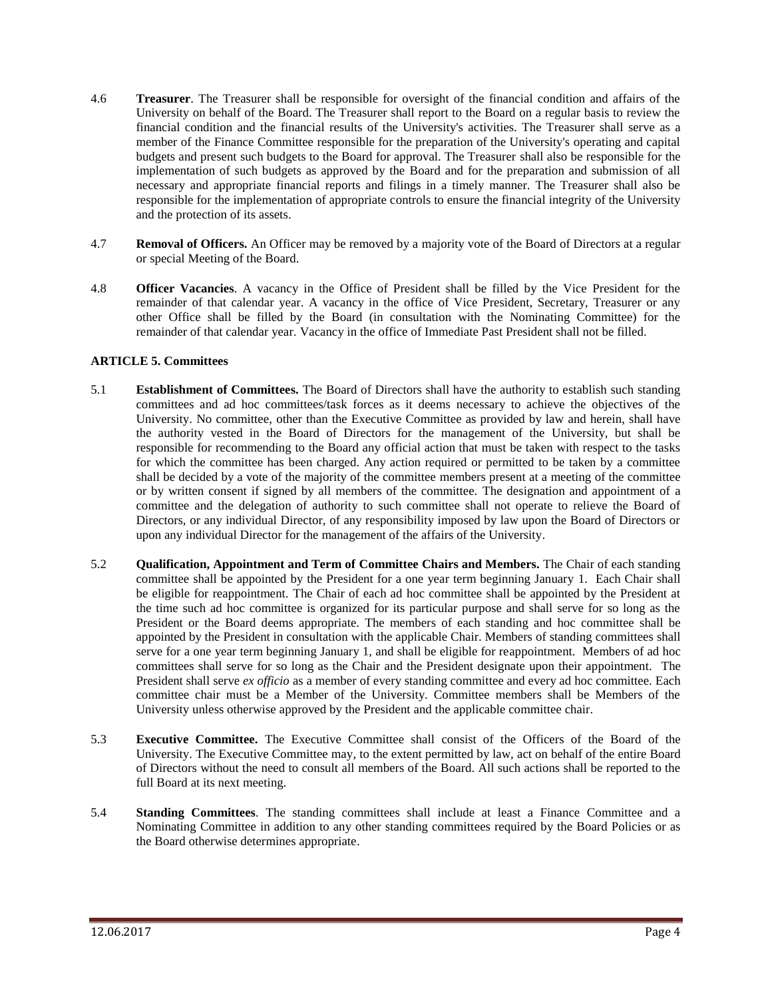- 4.6 **Treasurer**. The Treasurer shall be responsible for oversight of the financial condition and affairs of the University on behalf of the Board. The Treasurer shall report to the Board on a regular basis to review the financial condition and the financial results of the University's activities. The Treasurer shall serve as a member of the Finance Committee responsible for the preparation of the University's operating and capital budgets and present such budgets to the Board for approval. The Treasurer shall also be responsible for the implementation of such budgets as approved by the Board and for the preparation and submission of all necessary and appropriate financial reports and filings in a timely manner. The Treasurer shall also be responsible for the implementation of appropriate controls to ensure the financial integrity of the University and the protection of its assets.
- 4.7 **Removal of Officers.** An Officer may be removed by a majority vote of the Board of Directors at a regular or special Meeting of the Board.
- 4.8 **Officer Vacancies**. A vacancy in the Office of President shall be filled by the Vice President for the remainder of that calendar year. A vacancy in the office of Vice President, Secretary, Treasurer or any other Office shall be filled by the Board (in consultation with the Nominating Committee) for the remainder of that calendar year. Vacancy in the office of Immediate Past President shall not be filled.

## **ARTICLE 5. Committees**

- 5.1 **Establishment of Committees.** The Board of Directors shall have the authority to establish such standing committees and ad hoc committees/task forces as it deems necessary to achieve the objectives of the University. No committee, other than the Executive Committee as provided by law and herein, shall have the authority vested in the Board of Directors for the management of the University, but shall be responsible for recommending to the Board any official action that must be taken with respect to the tasks for which the committee has been charged. Any action required or permitted to be taken by a committee shall be decided by a vote of the majority of the committee members present at a meeting of the committee or by written consent if signed by all members of the committee. The designation and appointment of a committee and the delegation of authority to such committee shall not operate to relieve the Board of Directors, or any individual Director, of any responsibility imposed by law upon the Board of Directors or upon any individual Director for the management of the affairs of the University.
- 5.2 **Qualification, Appointment and Term of Committee Chairs and Members.** The Chair of each standing committee shall be appointed by the President for a one year term beginning January 1. Each Chair shall be eligible for reappointment. The Chair of each ad hoc committee shall be appointed by the President at the time such ad hoc committee is organized for its particular purpose and shall serve for so long as the President or the Board deems appropriate. The members of each standing and hoc committee shall be appointed by the President in consultation with the applicable Chair. Members of standing committees shall serve for a one year term beginning January 1, and shall be eligible for reappointment. Members of ad hoc committees shall serve for so long as the Chair and the President designate upon their appointment. The President shall serve *ex officio* as a member of every standing committee and every ad hoc committee. Each committee chair must be a Member of the University. Committee members shall be Members of the University unless otherwise approved by the President and the applicable committee chair.
- 5.3 **Executive Committee.** The Executive Committee shall consist of the Officers of the Board of the University. The Executive Committee may, to the extent permitted by law, act on behalf of the entire Board of Directors without the need to consult all members of the Board. All such actions shall be reported to the full Board at its next meeting.
- 5.4 **Standing Committees**. The standing committees shall include at least a Finance Committee and a Nominating Committee in addition to any other standing committees required by the Board Policies or as the Board otherwise determines appropriate.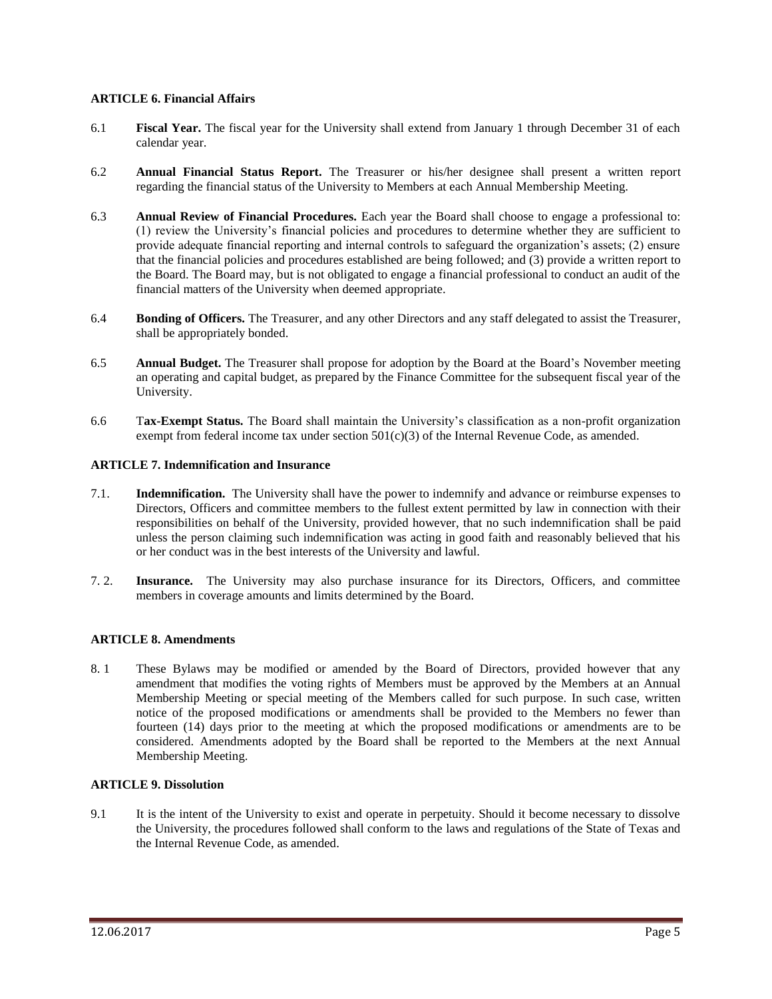#### **ARTICLE 6. Financial Affairs**

- 6.1 **Fiscal Year.** The fiscal year for the University shall extend from January 1 through December 31 of each calendar year.
- 6.2 **Annual Financial Status Report.** The Treasurer or his/her designee shall present a written report regarding the financial status of the University to Members at each Annual Membership Meeting.
- 6.3 **Annual Review of Financial Procedures.** Each year the Board shall choose to engage a professional to: (1) review the University's financial policies and procedures to determine whether they are sufficient to provide adequate financial reporting and internal controls to safeguard the organization's assets; (2) ensure that the financial policies and procedures established are being followed; and (3) provide a written report to the Board. The Board may, but is not obligated to engage a financial professional to conduct an audit of the financial matters of the University when deemed appropriate.
- 6.4 **Bonding of Officers.** The Treasurer, and any other Directors and any staff delegated to assist the Treasurer, shall be appropriately bonded.
- 6.5 **Annual Budget.** The Treasurer shall propose for adoption by the Board at the Board's November meeting an operating and capital budget, as prepared by the Finance Committee for the subsequent fiscal year of the University.
- 6.6 T**ax-Exempt Status.** The Board shall maintain the University's classification as a non-profit organization exempt from federal income tax under section  $501(c)(3)$  of the Internal Revenue Code, as amended.

#### **ARTICLE 7. Indemnification and Insurance**

- 7.1. **Indemnification.** The University shall have the power to indemnify and advance or reimburse expenses to Directors, Officers and committee members to the fullest extent permitted by law in connection with their responsibilities on behalf of the University, provided however, that no such indemnification shall be paid unless the person claiming such indemnification was acting in good faith and reasonably believed that his or her conduct was in the best interests of the University and lawful.
- 7. 2. **Insurance.** The University may also purchase insurance for its Directors, Officers, and committee members in coverage amounts and limits determined by the Board.

#### **ARTICLE 8. Amendments**

8. 1 These Bylaws may be modified or amended by the Board of Directors, provided however that any amendment that modifies the voting rights of Members must be approved by the Members at an Annual Membership Meeting or special meeting of the Members called for such purpose. In such case, written notice of the proposed modifications or amendments shall be provided to the Members no fewer than fourteen (14) days prior to the meeting at which the proposed modifications or amendments are to be considered. Amendments adopted by the Board shall be reported to the Members at the next Annual Membership Meeting.

#### **ARTICLE 9. Dissolution**

9.1 It is the intent of the University to exist and operate in perpetuity. Should it become necessary to dissolve the University, the procedures followed shall conform to the laws and regulations of the State of Texas and the Internal Revenue Code, as amended.